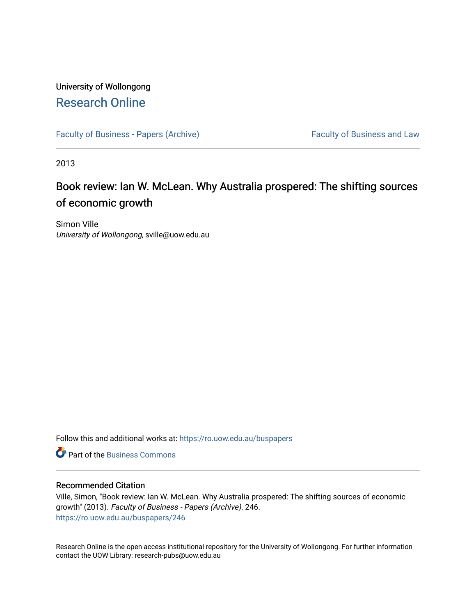# University of Wollongong [Research Online](https://ro.uow.edu.au/)

[Faculty of Business - Papers \(Archive\)](https://ro.uow.edu.au/buspapers) Faculty of Business and Law

2013

# Book review: Ian W. McLean. Why Australia prospered: The shifting sources of economic growth

Simon Ville University of Wollongong, sville@uow.edu.au

Follow this and additional works at: [https://ro.uow.edu.au/buspapers](https://ro.uow.edu.au/buspapers?utm_source=ro.uow.edu.au%2Fbuspapers%2F246&utm_medium=PDF&utm_campaign=PDFCoverPages) 

**C** Part of the [Business Commons](http://network.bepress.com/hgg/discipline/622?utm_source=ro.uow.edu.au%2Fbuspapers%2F246&utm_medium=PDF&utm_campaign=PDFCoverPages)

#### Recommended Citation

Ville, Simon, "Book review: Ian W. McLean. Why Australia prospered: The shifting sources of economic growth" (2013). Faculty of Business - Papers (Archive). 246. [https://ro.uow.edu.au/buspapers/246](https://ro.uow.edu.au/buspapers/246?utm_source=ro.uow.edu.au%2Fbuspapers%2F246&utm_medium=PDF&utm_campaign=PDFCoverPages) 

Research Online is the open access institutional repository for the University of Wollongong. For further information contact the UOW Library: research-pubs@uow.edu.au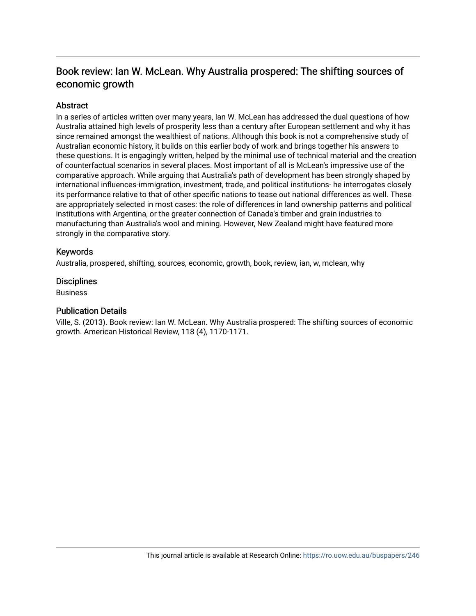# Book review: Ian W. McLean. Why Australia prospered: The shifting sources of economic growth

# **Abstract**

In a series of articles written over many years, Ian W. McLean has addressed the dual questions of how Australia attained high levels of prosperity less than a century after European settlement and why it has since remained amongst the wealthiest of nations. Although this book is not a comprehensive study of Australian economic history, it builds on this earlier body of work and brings together his answers to these questions. It is engagingly written, helped by the minimal use of technical material and the creation of counterfactual scenarios in several places. Most important of all is McLean's impressive use of the comparative approach. While arguing that Australia's path of development has been strongly shaped by international influences-immigration, investment, trade, and political institutions- he interrogates closely its performance relative to that of other specific nations to tease out national differences as well. These are appropriately selected in most cases: the role of differences in land ownership patterns and political institutions with Argentina, or the greater connection of Canada's timber and grain industries to manufacturing than Australia's wool and mining. However, New Zealand might have featured more strongly in the comparative story.

## Keywords

Australia, prospered, shifting, sources, economic, growth, book, review, ian, w, mclean, why

### **Disciplines**

**Business** 

### Publication Details

Ville, S. (2013). Book review: Ian W. McLean. Why Australia prospered: The shifting sources of economic growth. American Historical Review, 118 (4), 1170-1171.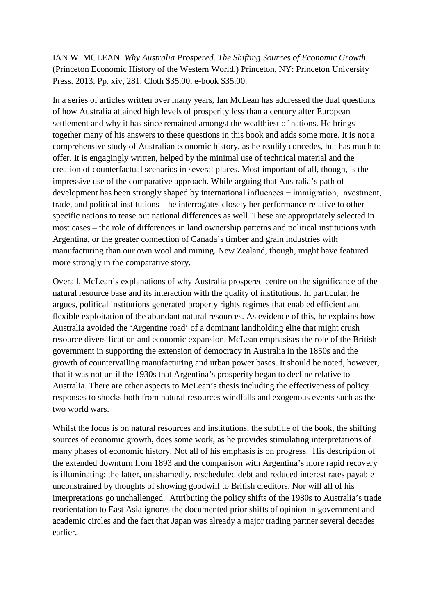IAN W. MCLEAN. *Why Australia Prospered. The Shifting Sources of Economic Growth*. (Princeton Economic History of the Western World.) Princeton, NY: Princeton University Press. 2013. Pp. xiv, 281. Cloth \$35.00, e-book \$35.00.

In a series of articles written over many years, Ian McLean has addressed the dual questions of how Australia attained high levels of prosperity less than a century after European settlement and why it has since remained amongst the wealthiest of nations. He brings together many of his answers to these questions in this book and adds some more. It is not a comprehensive study of Australian economic history, as he readily concedes, but has much to offer. It is engagingly written, helped by the minimal use of technical material and the creation of counterfactual scenarios in several places. Most important of all, though, is the impressive use of the comparative approach. While arguing that Australia's path of development has been strongly shaped by international influences − immigration, investment, trade, and political institutions – he interrogates closely her performance relative to other specific nations to tease out national differences as well. These are appropriately selected in most cases – the role of differences in land ownership patterns and political institutions with Argentina, or the greater connection of Canada's timber and grain industries with manufacturing than our own wool and mining. New Zealand, though, might have featured more strongly in the comparative story.

Overall, McLean's explanations of why Australia prospered centre on the significance of the natural resource base and its interaction with the quality of institutions. In particular, he argues, political institutions generated property rights regimes that enabled efficient and flexible exploitation of the abundant natural resources. As evidence of this, he explains how Australia avoided the 'Argentine road' of a dominant landholding elite that might crush resource diversification and economic expansion. McLean emphasises the role of the British government in supporting the extension of democracy in Australia in the 1850s and the growth of countervailing manufacturing and urban power bases. It should be noted, however, that it was not until the 1930s that Argentina's prosperity began to decline relative to Australia. There are other aspects to McLean's thesis including the effectiveness of policy responses to shocks both from natural resources windfalls and exogenous events such as the two world wars.

Whilst the focus is on natural resources and institutions, the subtitle of the book, the shifting sources of economic growth, does some work, as he provides stimulating interpretations of many phases of economic history. Not all of his emphasis is on progress. His description of the extended downturn from 1893 and the comparison with Argentina's more rapid recovery is illuminating; the latter, unashamedly, rescheduled debt and reduced interest rates payable unconstrained by thoughts of showing goodwill to British creditors. Nor will all of his interpretations go unchallenged. Attributing the policy shifts of the 1980s to Australia's trade reorientation to East Asia ignores the documented prior shifts of opinion in government and academic circles and the fact that Japan was already a major trading partner several decades earlier.